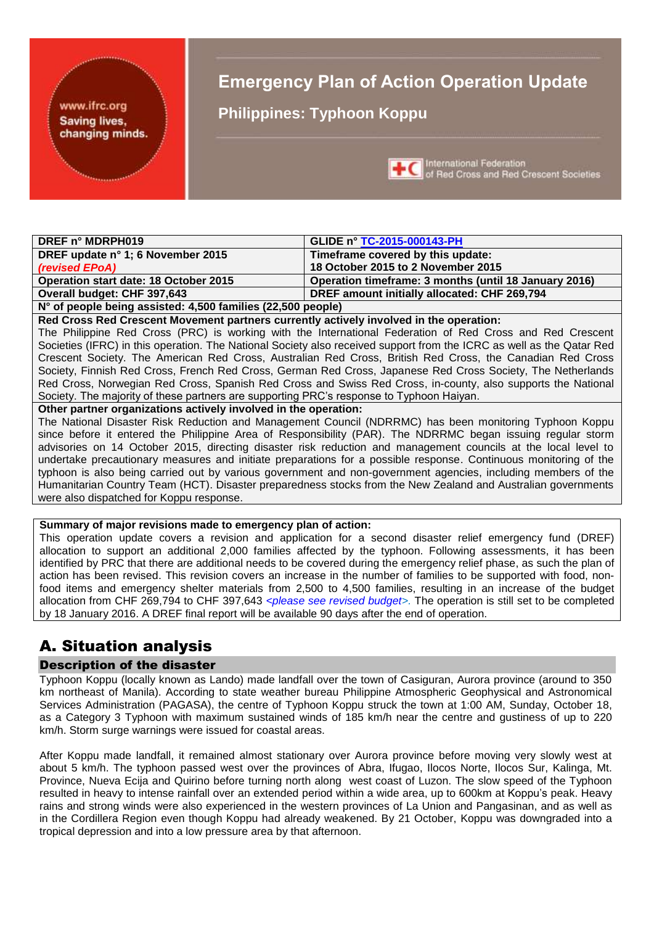#### www.ifrc.org **Saving lives,** changing minds.

# **Emergency Plan of Action Operation Update**

**Philippines: Typhoon Koppu**



International Federation of Red Cross and Red Crescent Societies

| DREF n° MDRPH019                             | <b>GLIDE n° TC-2015-000143-PH</b>                     |
|----------------------------------------------|-------------------------------------------------------|
| DREF update n° 1; 6 November 2015            | Timeframe covered by this update:                     |
| (revised EPoA)                               | 18 October 2015 to 2 November 2015                    |
| <b>Operation start date: 18 October 2015</b> | Operation timeframe: 3 months (until 18 January 2016) |
| Overall budget: CHF 397,643                  | DREF amount initially allocated: CHF 269,794          |
|                                              |                                                       |

**N° of people being assisted: 4,500 families (22,500 people)**

**Red Cross Red Crescent Movement partners currently actively involved in the operation:**

The Philippine Red Cross (PRC) is working with the International Federation of Red Cross and Red Crescent Societies (IFRC) in this operation. The National Society also received support from the ICRC as well as the Qatar Red Crescent Society. The American Red Cross, Australian Red Cross, British Red Cross, the Canadian Red Cross Society, Finnish Red Cross, French Red Cross, German Red Cross, Japanese Red Cross Society, The Netherlands Red Cross, Norwegian Red Cross, Spanish Red Cross and Swiss Red Cross, in-county, also supports the National Society. The majority of these partners are supporting PRC's response to Typhoon Haiyan.

**Other partner organizations actively involved in the operation:**

The National Disaster Risk Reduction and Management Council (NDRRMC) has been monitoring Typhoon Koppu since before it entered the Philippine Area of Responsibility (PAR). The NDRRMC began issuing regular storm advisories on 14 October 2015, directing disaster risk reduction and management councils at the local level to undertake precautionary measures and initiate preparations for a possible response. Continuous monitoring of the typhoon is also being carried out by various government and non-government agencies, including members of the Humanitarian Country Team (HCT). Disaster preparedness stocks from the New Zealand and Australian governments were also dispatched for Koppu response.

#### **Summary of major revisions made to emergency plan of action:**

This operation update covers a revision and application for a second disaster relief emergency fund (DREF) allocation to support an additional 2,000 families affected by the typhoon. Following assessments, it has been identified by PRC that there are additional needs to be covered during the emergency relief phase, as such the plan of action has been revised. This revision covers an increase in the number of families to be supported with food, nonfood items and emergency shelter materials from 2,500 to 4,500 families, resulting in an increase of the budget allocation from CHF 269,794 to CHF 397,643 *<please see revised budget>*. The operation is still set to be completed by 18 January 2016. A DREF final report will be available 90 days after the end of operation.

# A. Situation analysis

#### Description of the disaster

Typhoon Koppu (locally known as Lando) made landfall over the town of Casiguran, Aurora province (around to 350 km northeast of Manila). According to state weather bureau Philippine Atmospheric Geophysical and Astronomical Services Administration (PAGASA), the centre of Typhoon Koppu struck the town at 1:00 AM, Sunday, October 18, as a Category 3 Typhoon with maximum sustained winds of 185 km/h near the centre and gustiness of up to 220 km/h. Storm surge warnings were issued for coastal areas.

After Koppu made landfall, it remained almost stationary over Aurora province before moving very slowly west at about 5 km/h. The typhoon passed west over the provinces of Abra, Ifugao, Ilocos Norte, Ilocos Sur, Kalinga, Mt. Province, Nueva Ecija and Quirino before turning north along west coast of Luzon. The slow speed of the Typhoon resulted in heavy to intense rainfall over an extended period within a wide area, up to 600km at Koppu's peak. Heavy rains and strong winds were also experienced in the western provinces of La Union and Pangasinan, and as well as in the Cordillera Region even though Koppu had already weakened. By 21 October, Koppu was downgraded into a tropical depression and into a low pressure area by that afternoon.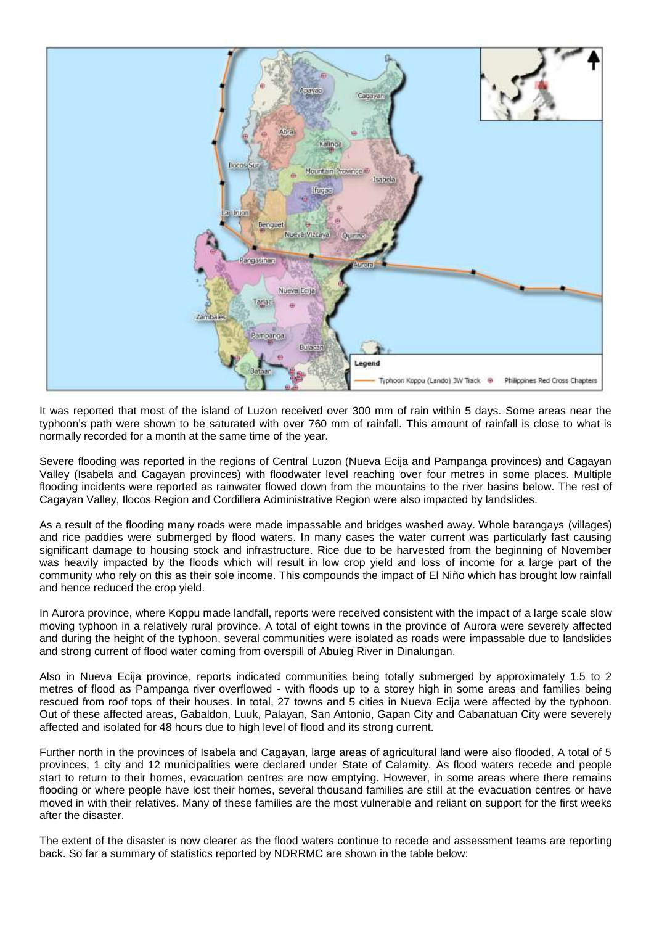

It was reported that most of the island of Luzon received over 300 mm of rain within 5 days. Some areas near the typhoon's path were shown to be saturated with over 760 mm of rainfall. This amount of rainfall is close to what is normally recorded for a month at the same time of the year.

Severe flooding was reported in the regions of Central Luzon (Nueva Ecija and Pampanga provinces) and Cagayan Valley (Isabela and Cagayan provinces) with floodwater level reaching over four metres in some places. Multiple flooding incidents were reported as rainwater flowed down from the mountains to the river basins below. The rest of Cagayan Valley, Ilocos Region and Cordillera Administrative Region were also impacted by landslides.

As a result of the flooding many roads were made impassable and bridges washed away. Whole barangays (villages) and rice paddies were submerged by flood waters. In many cases the water current was particularly fast causing significant damage to housing stock and infrastructure. Rice due to be harvested from the beginning of November was heavily impacted by the floods which will result in low crop yield and loss of income for a large part of the community who rely on this as their sole income. This compounds the impact of El Niño which has brought low rainfall and hence reduced the crop yield.

In Aurora province, where Koppu made landfall, reports were received consistent with the impact of a large scale slow moving typhoon in a relatively rural province. A total of eight towns in the province of Aurora were severely affected and during the height of the typhoon, several communities were isolated as roads were impassable due to landslides and strong current of flood water coming from overspill of Abuleg River in Dinalungan.

Also in Nueva Ecija province, reports indicated communities being totally submerged by approximately 1.5 to 2 metres of flood as Pampanga river overflowed - with floods up to a storey high in some areas and families being rescued from roof tops of their houses. In total, 27 towns and 5 cities in Nueva Ecija were affected by the typhoon. Out of these affected areas, Gabaldon, Luuk, Palayan, San Antonio, Gapan City and Cabanatuan City were severely affected and isolated for 48 hours due to high level of flood and its strong current.

Further north in the provinces of Isabela and Cagayan, large areas of agricultural land were also flooded. A total of 5 provinces, 1 city and 12 municipalities were declared under State of Calamity. As flood waters recede and people start to return to their homes, evacuation centres are now emptying. However, in some areas where there remains flooding or where people have lost their homes, several thousand families are still at the evacuation centres or have moved in with their relatives. Many of these families are the most vulnerable and reliant on support for the first weeks after the disaster.

The extent of the disaster is now clearer as the flood waters continue to recede and assessment teams are reporting back. So far a summary of statistics reported by NDRRMC are shown in the table below: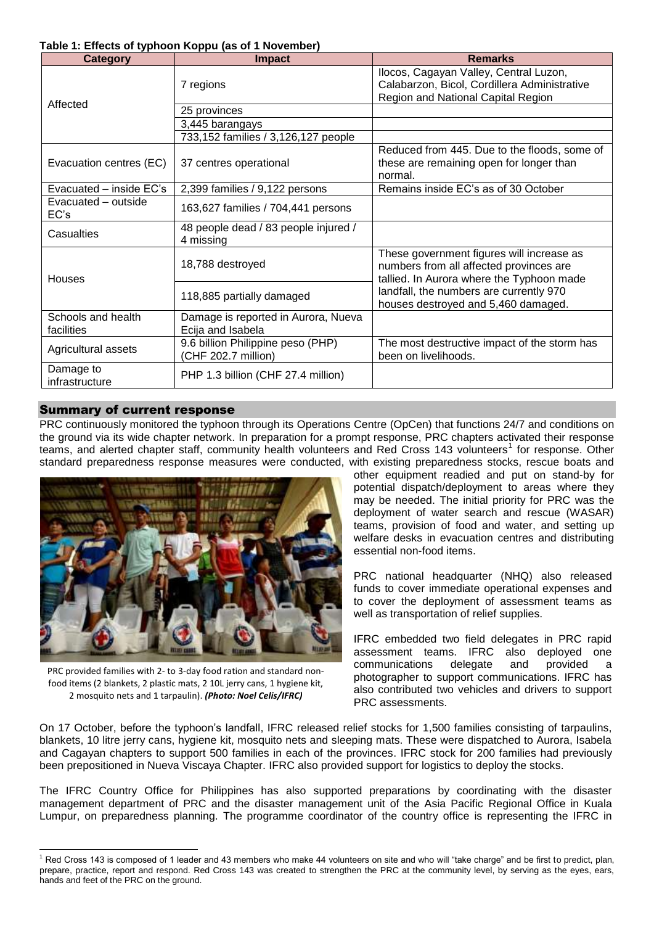#### **Table 1: Effects of typhoon Koppu (as of 1 November)**

| <b>Category</b>                  | <b>Impact</b>                                            | <b>Remarks</b>                                                                                                                    |
|----------------------------------|----------------------------------------------------------|-----------------------------------------------------------------------------------------------------------------------------------|
|                                  | 7 regions                                                | Ilocos, Cagayan Valley, Central Luzon,<br>Calabarzon, Bicol, Cordillera Administrative<br>Region and National Capital Region      |
| Affected                         | 25 provinces                                             |                                                                                                                                   |
|                                  | 3,445 barangays                                          |                                                                                                                                   |
|                                  | 733,152 families / 3,126,127 people                      |                                                                                                                                   |
| Evacuation centres (EC)          | 37 centres operational                                   | Reduced from 445. Due to the floods, some of<br>these are remaining open for longer than<br>normal.                               |
| Evacuated – inside EC's          | 2,399 families / 9,122 persons                           | Remains inside EC's as of 30 October                                                                                              |
| Evacuated – outside<br>EC's      | 163,627 families / 704,441 persons                       |                                                                                                                                   |
| Casualties                       | 48 people dead / 83 people injured /<br>4 missing        |                                                                                                                                   |
| Houses                           | 18,788 destroyed                                         | These government figures will increase as<br>numbers from all affected provinces are<br>tallied. In Aurora where the Typhoon made |
|                                  | 118,885 partially damaged                                | landfall, the numbers are currently 970<br>houses destroyed and 5,460 damaged.                                                    |
| Schools and health<br>facilities | Damage is reported in Aurora, Nueva<br>Ecija and Isabela |                                                                                                                                   |
| Agricultural assets              | 9.6 billion Philippine peso (PHP)<br>(CHF 202.7 million) | The most destructive impact of the storm has<br>been on livelihoods.                                                              |
| Damage to<br>infrastructure      | PHP 1.3 billion (CHF 27.4 million)                       |                                                                                                                                   |

#### Summary of current response

PRC continuously monitored the typhoon through its Operations Centre (OpCen) that functions 24/7 and conditions on the ground via its wide chapter network. In preparation for a prompt response, PRC chapters activated their response teams, and alerted chapter staff, community health volunteers and Red Cross 143 volunteers<sup>1</sup> for response. Other standard preparedness response measures were conducted, with existing preparedness stocks, rescue boats and



PRC provided families with 2- to 3-day food ration and standard nonfood items (2 blankets, 2 plastic mats, 2 10L jerry cans, 1 hygiene kit, 2 mosquito nets and 1 tarpaulin). *(Photo: Noel Celis/IFRC)*

1

other equipment readied and put on stand-by for potential dispatch/deployment to areas where they may be needed. The initial priority for PRC was the deployment of water search and rescue (WASAR) teams, provision of food and water, and setting up welfare desks in evacuation centres and distributing essential non-food items.

PRC national headquarter (NHQ) also released funds to cover immediate operational expenses and to cover the deployment of assessment teams as well as transportation of relief supplies.

IFRC embedded two field delegates in PRC rapid assessment teams. IFRC also deployed one communications delegate and provided a photographer to support communications. IFRC has also contributed two vehicles and drivers to support PRC assessments.

On 17 October, before the typhoon's landfall, IFRC released relief stocks for 1,500 families consisting of tarpaulins, blankets, 10 litre jerry cans, hygiene kit, mosquito nets and sleeping mats. These were dispatched to Aurora, Isabela and Cagayan chapters to support 500 families in each of the provinces. IFRC stock for 200 families had previously been prepositioned in Nueva Viscaya Chapter. IFRC also provided support for logistics to deploy the stocks.

The IFRC Country Office for Philippines has also supported preparations by coordinating with the disaster management department of PRC and the disaster management unit of the Asia Pacific Regional Office in Kuala Lumpur, on preparedness planning. The programme coordinator of the country office is representing the IFRC in

<sup>&</sup>lt;sup>1</sup> Red Cross 143 is composed of 1 leader and 43 members who make 44 volunteers on site and who will "take charge" and be first to predict, plan, prepare, practice, report and respond. Red Cross 143 was created to strengthen the PRC at the community level, by serving as the eyes, ears, hands and feet of the PRC on the ground.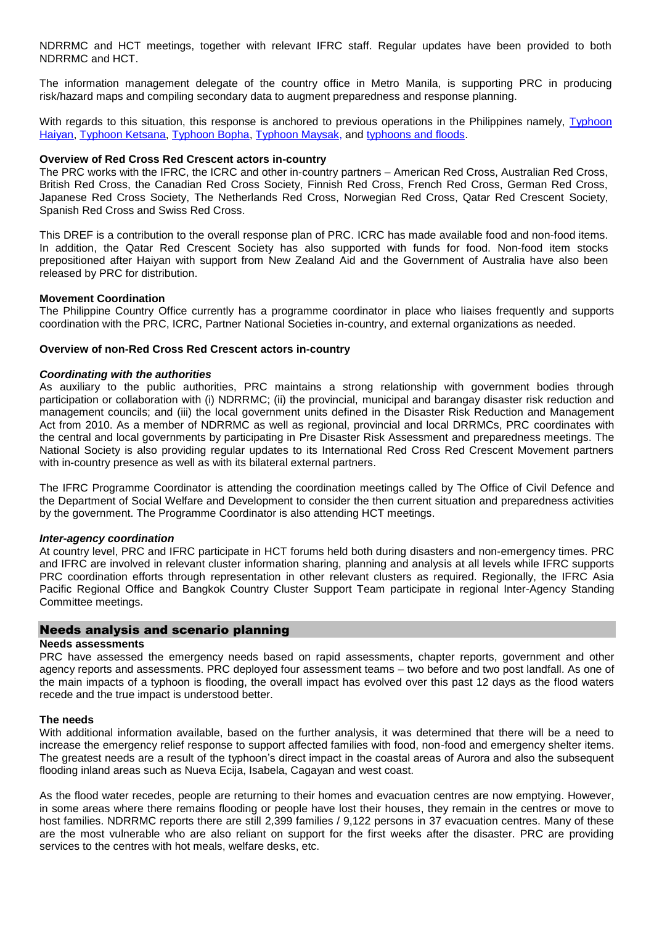NDRRMC and HCT meetings, together with relevant IFRC staff. Regular updates have been provided to both NDRRMC and HCT.

The information management delegate of the country office in Metro Manila, is supporting PRC in producing risk/hazard maps and compiling secondary data to augment preparedness and response planning.

With regards to this situation, this response is anchored to previous operations in the Philippines namely, Typhoon [Haiyan,](http://www.ifrc.org/en/publications-and-reports/appeals/?ac=mdrph014&at=0&c=&co=&dt=1&f=&re=&t=&ti=&zo=) [Typhoon Ketsana,](http://www.ifrc.org/en/publications-and-reports/appeals/?ac=mdrph005&at=0&c=&co=&dt=1&f=&re=&t=&ti=&zo=) [Typhoon Bopha,](http://www.ifrc.org/en/publications-and-reports/appeals/?ac=mdrph011&at=0&c=&co=&dt=1&f=&re=&t=&ti=&zo=) [Typhoon Maysak,](http://www.ifrc.org/en/publications-and-reports/appeals/?ac=mdrph018&at=0&c=&co=&dt=1&f=&re=&t=&ti=&zo=) and [typhoons and floods.](http://www.ifrc.org/en/publications-and-reports/appeals/?ac=mdrph012&at=0&c=&co=&dt=1&f=&re=&t=&ti=&zo=)

#### **Overview of Red Cross Red Crescent actors in-country**

The PRC works with the IFRC, the ICRC and other in-country partners – American Red Cross, Australian Red Cross, British Red Cross, the Canadian Red Cross Society, Finnish Red Cross, French Red Cross, German Red Cross, Japanese Red Cross Society, The Netherlands Red Cross, Norwegian Red Cross, Qatar Red Crescent Society, Spanish Red Cross and Swiss Red Cross.

This DREF is a contribution to the overall response plan of PRC. ICRC has made available food and non-food items. In addition, the Qatar Red Crescent Society has also supported with funds for food. Non-food item stocks prepositioned after Haiyan with support from New Zealand Aid and the Government of Australia have also been released by PRC for distribution.

#### **Movement Coordination**

The Philippine Country Office currently has a programme coordinator in place who liaises frequently and supports coordination with the PRC, ICRC, Partner National Societies in-country, and external organizations as needed.

#### **Overview of non-Red Cross Red Crescent actors in-country**

#### *Coordinating with the authorities*

As auxiliary to the public authorities, PRC maintains a strong relationship with government bodies through participation or collaboration with (i) NDRRMC; (ii) the provincial, municipal and barangay disaster risk reduction and management councils; and (iii) the local government units defined in the Disaster Risk Reduction and Management Act from 2010. As a member of NDRRMC as well as regional, provincial and local DRRMCs, PRC coordinates with the central and local governments by participating in Pre Disaster Risk Assessment and preparedness meetings. The National Society is also providing regular updates to its International Red Cross Red Crescent Movement partners with in-country presence as well as with its bilateral external partners.

The IFRC Programme Coordinator is attending the coordination meetings called by The Office of Civil Defence and the Department of Social Welfare and Development to consider the then current situation and preparedness activities by the government. The Programme Coordinator is also attending HCT meetings.

#### *Inter-agency coordination*

At country level, PRC and IFRC participate in HCT forums held both during disasters and non-emergency times. PRC and IFRC are involved in relevant cluster information sharing, planning and analysis at all levels while IFRC supports PRC coordination efforts through representation in other relevant clusters as required. Regionally, the IFRC Asia Pacific Regional Office and Bangkok Country Cluster Support Team participate in regional Inter-Agency Standing Committee meetings.

#### Needs analysis and scenario planning

#### **Needs assessments**

PRC have assessed the emergency needs based on rapid assessments, chapter reports, government and other agency reports and assessments. PRC deployed four assessment teams – two before and two post landfall. As one of the main impacts of a typhoon is flooding, the overall impact has evolved over this past 12 days as the flood waters recede and the true impact is understood better.

#### **The needs**

With additional information available, based on the further analysis, it was determined that there will be a need to increase the emergency relief response to support affected families with food, non-food and emergency shelter items. The greatest needs are a result of the typhoon's direct impact in the coastal areas of Aurora and also the subsequent flooding inland areas such as Nueva Ecija, Isabela, Cagayan and west coast.

As the flood water recedes, people are returning to their homes and evacuation centres are now emptying. However, in some areas where there remains flooding or people have lost their houses, they remain in the centres or move to host families. NDRRMC reports there are still 2,399 families / 9,122 persons in 37 evacuation centres. Many of these are the most vulnerable who are also reliant on support for the first weeks after the disaster. PRC are providing services to the centres with hot meals, welfare desks, etc.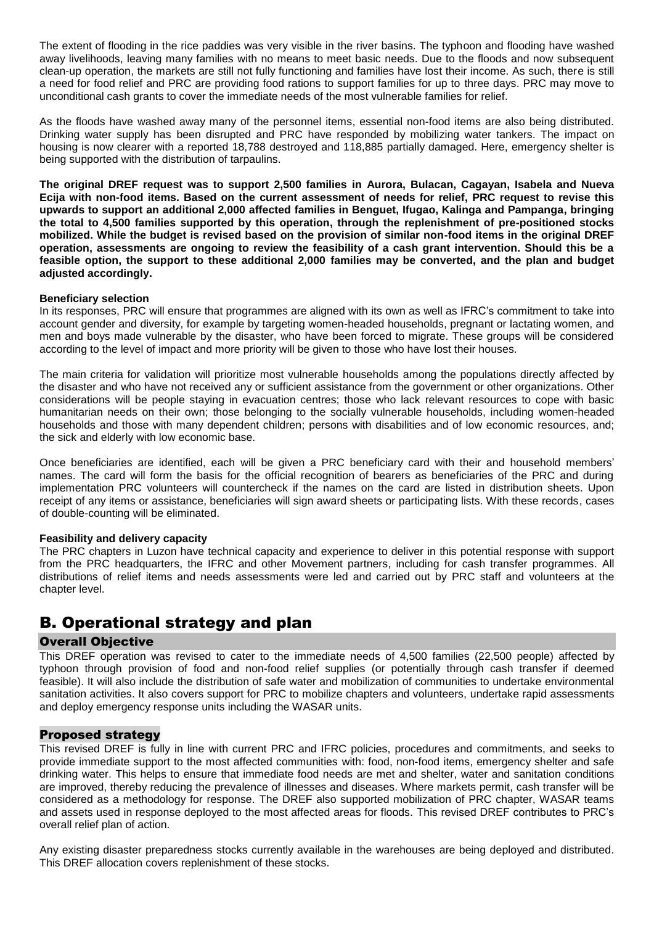The extent of flooding in the rice paddies was very visible in the river basins. The typhoon and flooding have washed away livelihoods, leaving many families with no means to meet basic needs. Due to the floods and now subsequent clean-up operation, the markets are still not fully functioning and families have lost their income. As such, there is still a need for food relief and PRC are providing food rations to support families for up to three days. PRC may move to unconditional cash grants to cover the immediate needs of the most vulnerable families for relief.

As the floods have washed away many of the personnel items, essential non-food items are also being distributed. Drinking water supply has been disrupted and PRC have responded by mobilizing water tankers. The impact on housing is now clearer with a reported 18,788 destroyed and 118,885 partially damaged. Here, emergency shelter is being supported with the distribution of tarpaulins.

**The original DREF request was to support 2,500 families in Aurora, Bulacan, Cagayan, Isabela and Nueva Ecija with non-food items. Based on the current assessment of needs for relief, PRC request to revise this upwards to support an additional 2,000 affected families in Benguet, Ifugao, Kalinga and Pampanga, bringing the total to 4,500 families supported by this operation, through the replenishment of pre-positioned stocks mobilized. While the budget is revised based on the provision of similar non-food items in the original DREF operation, assessments are ongoing to review the feasibility of a cash grant intervention. Should this be a feasible option, the support to these additional 2,000 families may be converted, and the plan and budget adjusted accordingly.**

#### **Beneficiary selection**

In its responses, PRC will ensure that programmes are aligned with its own as well as IFRC's commitment to take into account gender and diversity, for example by targeting women-headed households, pregnant or lactating women, and men and boys made vulnerable by the disaster, who have been forced to migrate. These groups will be considered according to the level of impact and more priority will be given to those who have lost their houses.

The main criteria for validation will prioritize most vulnerable households among the populations directly affected by the disaster and who have not received any or sufficient assistance from the government or other organizations. Other considerations will be people staying in evacuation centres; those who lack relevant resources to cope with basic humanitarian needs on their own; those belonging to the socially vulnerable households, including women-headed households and those with many dependent children; persons with disabilities and of low economic resources, and; the sick and elderly with low economic base.

Once beneficiaries are identified, each will be given a PRC beneficiary card with their and household members' names. The card will form the basis for the official recognition of bearers as beneficiaries of the PRC and during implementation PRC volunteers will countercheck if the names on the card are listed in distribution sheets. Upon receipt of any items or assistance, beneficiaries will sign award sheets or participating lists. With these records, cases of double-counting will be eliminated.

#### **Feasibility and delivery capacity**

The PRC chapters in Luzon have technical capacity and experience to deliver in this potential response with support from the PRC headquarters, the IFRC and other Movement partners, including for cash transfer programmes. All distributions of relief items and needs assessments were led and carried out by PRC staff and volunteers at the chapter level.

# B. Operational strategy and plan

#### Overall Objective

This DREF operation was revised to cater to the immediate needs of 4,500 families (22,500 people) affected by typhoon through provision of food and non-food relief supplies (or potentially through cash transfer if deemed feasible). It will also include the distribution of safe water and mobilization of communities to undertake environmental sanitation activities. It also covers support for PRC to mobilize chapters and volunteers, undertake rapid assessments and deploy emergency response units including the WASAR units.

#### Proposed strategy

This revised DREF is fully in line with current PRC and IFRC policies, procedures and commitments, and seeks to provide immediate support to the most affected communities with: food, non-food items, emergency shelter and safe drinking water. This helps to ensure that immediate food needs are met and shelter, water and sanitation conditions are improved, thereby reducing the prevalence of illnesses and diseases. Where markets permit, cash transfer will be considered as a methodology for response. The DREF also supported mobilization of PRC chapter, WASAR teams and assets used in response deployed to the most affected areas for floods. This revised DREF contributes to PRC's overall relief plan of action.

Any existing disaster preparedness stocks currently available in the warehouses are being deployed and distributed. This DREF allocation covers replenishment of these stocks.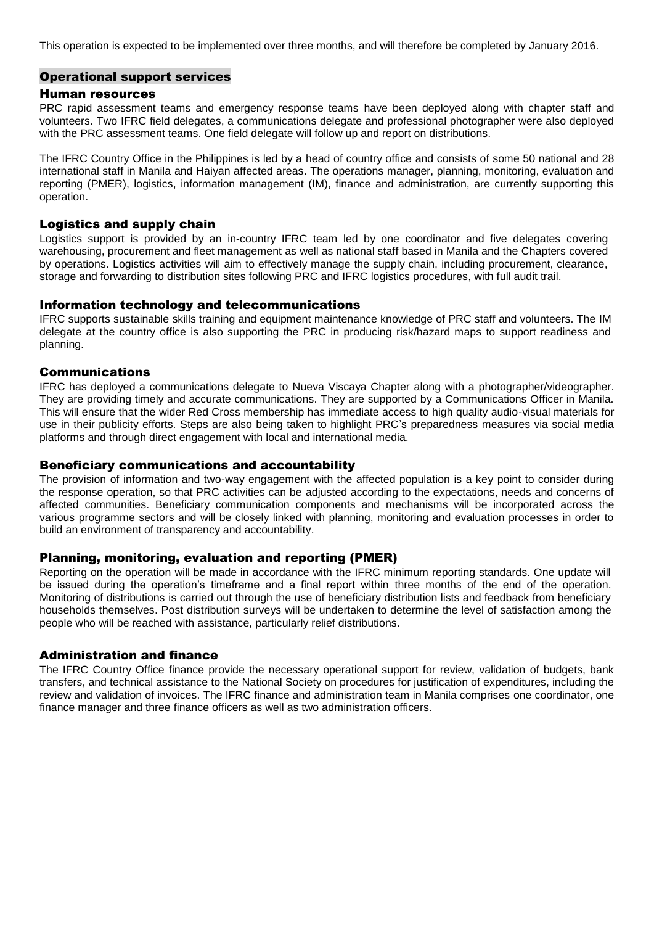This operation is expected to be implemented over three months, and will therefore be completed by January 2016.

#### Operational support services

#### Human resources

PRC rapid assessment teams and emergency response teams have been deployed along with chapter staff and volunteers. Two IFRC field delegates, a communications delegate and professional photographer were also deployed with the PRC assessment teams. One field delegate will follow up and report on distributions.

The IFRC Country Office in the Philippines is led by a head of country office and consists of some 50 national and 28 international staff in Manila and Haiyan affected areas. The operations manager, planning, monitoring, evaluation and reporting (PMER), logistics, information management (IM), finance and administration, are currently supporting this operation.

#### Logistics and supply chain

Logistics support is provided by an in-country IFRC team led by one coordinator and five delegates covering warehousing, procurement and fleet management as well as national staff based in Manila and the Chapters covered by operations. Logistics activities will aim to effectively manage the supply chain, including procurement, clearance, storage and forwarding to distribution sites following PRC and IFRC logistics procedures, with full audit trail.

#### Information technology and telecommunications

IFRC supports sustainable skills training and equipment maintenance knowledge of PRC staff and volunteers. The IM delegate at the country office is also supporting the PRC in producing risk/hazard maps to support readiness and planning.

#### Communications

IFRC has deployed a communications delegate to Nueva Viscaya Chapter along with a photographer/videographer. They are providing timely and accurate communications. They are supported by a Communications Officer in Manila. This will ensure that the wider Red Cross membership has immediate access to high quality audio-visual materials for use in their publicity efforts. Steps are also being taken to highlight PRC's preparedness measures via social media platforms and through direct engagement with local and international media.

#### Beneficiary communications and accountability

The provision of information and two-way engagement with the affected population is a key point to consider during the response operation, so that PRC activities can be adjusted according to the expectations, needs and concerns of affected communities. Beneficiary communication components and mechanisms will be incorporated across the various programme sectors and will be closely linked with planning, monitoring and evaluation processes in order to build an environment of transparency and accountability.

#### Planning, monitoring, evaluation and reporting (PMER)

Reporting on the operation will be made in accordance with the IFRC minimum reporting standards. One update will be issued during the operation's timeframe and a final report within three months of the end of the operation. Monitoring of distributions is carried out through the use of beneficiary distribution lists and feedback from beneficiary households themselves. Post distribution surveys will be undertaken to determine the level of satisfaction among the people who will be reached with assistance, particularly relief distributions.

#### Administration and finance

The IFRC Country Office finance provide the necessary operational support for review, validation of budgets, bank transfers, and technical assistance to the National Society on procedures for justification of expenditures, including the review and validation of invoices. The IFRC finance and administration team in Manila comprises one coordinator, one finance manager and three finance officers as well as two administration officers.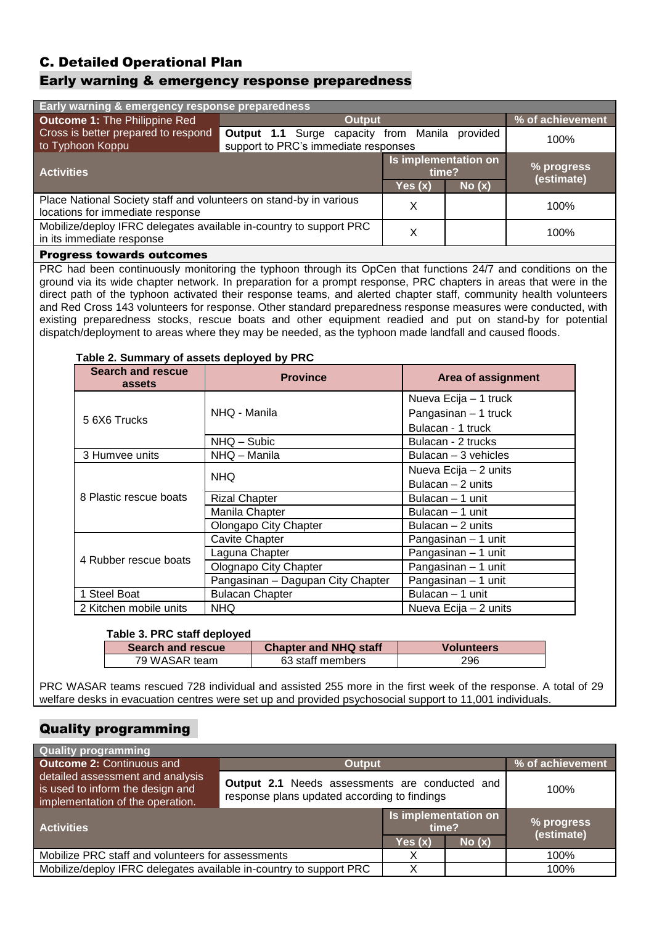## C. Detailed Operational Plan

#### Early warning & emergency response preparedness

| Early warning & emergency response preparedness                                                        |                                                                                      |                               |          |                          |  |
|--------------------------------------------------------------------------------------------------------|--------------------------------------------------------------------------------------|-------------------------------|----------|--------------------------|--|
| <b>Outcome 1: The Philippine Red</b><br><b>Output</b>                                                  |                                                                                      |                               |          | % of achievement         |  |
| Cross is better prepared to respond<br>to Typhoon Koppu                                                | <b>Output 1.1</b> Surge capacity from Manila<br>support to PRC's immediate responses |                               | provided | 100%                     |  |
| <b>Activities</b>                                                                                      |                                                                                      | Is implementation on<br>time? |          | % progress<br>(estimate) |  |
|                                                                                                        |                                                                                      | Yes (x)                       | No(x)    |                          |  |
| Place National Society staff and volunteers on stand-by in various<br>locations for immediate response |                                                                                      | Χ                             |          | 100%                     |  |
| Mobilize/deploy IFRC delegates available in-country to support PRC<br>in its immediate response        |                                                                                      | Χ                             |          | 100%                     |  |
| <b>Progress towards outcomes</b>                                                                       |                                                                                      |                               |          |                          |  |

PRC had been continuously monitoring the typhoon through its OpCen that functions 24/7 and conditions on the ground via its wide chapter network. In preparation for a prompt response, PRC chapters in areas that were in the direct path of the typhoon activated their response teams, and alerted chapter staff, community health volunteers and Red Cross 143 volunteers for response. Other standard preparedness response measures were conducted, with existing preparedness stocks, rescue boats and other equipment readied and put on stand-by for potential dispatch/deployment to areas where they may be needed, as the typhoon made landfall and caused floods.

#### **Table 2. Summary of assets deployed by PRC**

| <b>Search and rescue</b><br>assets | <b>Province</b>                   | Area of assignment    |
|------------------------------------|-----------------------------------|-----------------------|
|                                    |                                   | Nueva Ecija - 1 truck |
| 5 6X6 Trucks                       | NHQ - Manila                      | Pangasinan - 1 truck  |
|                                    |                                   | Bulacan - 1 truck     |
|                                    | NHQ - Subic                       | Bulacan - 2 trucks    |
| 3 Humvee units                     | NHQ – Manila                      | Bulacan - 3 vehicles  |
|                                    | <b>NHQ</b>                        | Nueva Ecija - 2 units |
|                                    |                                   | Bulacan – 2 units     |
| 8 Plastic rescue boats             | <b>Rizal Chapter</b>              | Bulacan - 1 unit      |
|                                    | Manila Chapter                    | Bulacan - 1 unit      |
|                                    | Olongapo City Chapter             | Bulacan – 2 units     |
|                                    | <b>Cavite Chapter</b>             | Pangasinan - 1 unit   |
| 4 Rubber rescue boats              | Laguna Chapter                    | Pangasinan - 1 unit   |
|                                    | Olognapo City Chapter             | Pangasinan - 1 unit   |
|                                    | Pangasinan - Dagupan City Chapter | Pangasinan - 1 unit   |
| 1 Steel Boat                       | <b>Bulacan Chapter</b>            | Bulacan - 1 unit      |
| 2 Kitchen mobile units             | <b>NHQ</b>                        | Nueva Ecija – 2 units |

#### **Table 3. PRC staff deployed**

| $18000$ $31100$ $3001$ $100$ $100$ |                              |                   |  |  |  |
|------------------------------------|------------------------------|-------------------|--|--|--|
| <b>Search and rescue</b>           | <b>Chapter and NHQ staff</b> | <b>Volunteers</b> |  |  |  |
| 79 WASAR team                      | 63 staff members             | 296               |  |  |  |

PRC WASAR teams rescued 728 individual and assisted 255 more in the first week of the response. A total of 29 welfare desks in evacuation centres were set up and provided psychosocial support to 11,001 individuals.

#### Quality programming

| <b>Quality programming</b>                                                                               |                                                                                                       |                               |       |                     |  |
|----------------------------------------------------------------------------------------------------------|-------------------------------------------------------------------------------------------------------|-------------------------------|-------|---------------------|--|
| <b>Outcome 2: Continuous and</b>                                                                         | <b>Output</b>                                                                                         |                               |       | % of achievement    |  |
| detailed assessment and analysis<br>is used to inform the design and<br>implementation of the operation. | <b>Output 2.1 Needs assessments are conducted and</b><br>response plans updated according to findings | 100%                          |       |                     |  |
| <b>Activities</b>                                                                                        |                                                                                                       | Is implementation on<br>time? |       | $\sqrt{2}$ progress |  |
|                                                                                                          |                                                                                                       | Yes $(x)$                     | No(x) |                     |  |
| Mobilize PRC staff and volunteers for assessments                                                        |                                                                                                       | Х                             |       | 100%                |  |
| Mobilize/deploy IFRC delegates available in-country to support PRC                                       |                                                                                                       | Х                             |       | 100%                |  |
|                                                                                                          |                                                                                                       |                               |       | (estimate)          |  |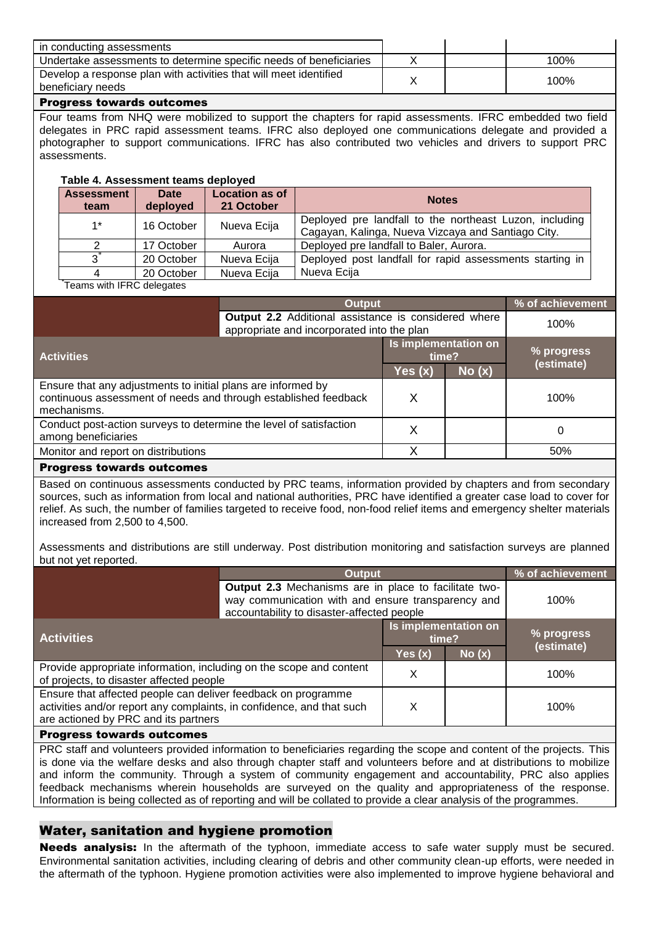| I in conducting assessments                                                            |  |      |
|----------------------------------------------------------------------------------------|--|------|
| Undertake assessments to determine specific needs of beneficiaries                     |  | 100% |
| Develop a response plan with activities that will meet identified<br>beneficiary needs |  | 100% |

#### Progress towards outcomes

Four teams from NHQ were mobilized to support the chapters for rapid assessments. IFRC embedded two field delegates in PRC rapid assessment teams. IFRC also deployed one communications delegate and provided a photographer to support communications. IFRC has also contributed two vehicles and drivers to support PRC assessments.

#### **Table 4. Assessment teams deployed**

| <b>Assessment</b><br>team | Date<br>deployed | <b>Location as of</b><br>21 October | <b>Notes</b>                                             |
|---------------------------|------------------|-------------------------------------|----------------------------------------------------------|
| $1*$                      | 16 October       | Nueva Ecija                         | Deployed pre landfall to the northeast Luzon, including  |
|                           |                  |                                     | Cagayan, Kalinga, Nueva Vizcaya and Santiago City.       |
|                           | 17 October       | Aurora                              | Deployed pre landfall to Baler, Aurora.                  |
|                           | 20 October       | Nueva Ecija                         | Deployed post landfall for rapid assessments starting in |
|                           | 20 October       | Nueva Ecija                         | Nueva Ecija                                              |
| reame with IERC delenatee |                  |                                     |                                                          |

Teams with IFRC delegates

| <b>Output</b>                                                                                                                                  |                                                                                                    |         |        | % of achievement |
|------------------------------------------------------------------------------------------------------------------------------------------------|----------------------------------------------------------------------------------------------------|---------|--------|------------------|
|                                                                                                                                                | Output 2.2 Additional assistance is considered where<br>appropriate and incorporated into the plan |         |        | 100%             |
| <b>Activities</b>                                                                                                                              | Is implementation on<br>time?                                                                      |         |        | % progress       |
|                                                                                                                                                |                                                                                                    | Yes (x) | No (x) | (estimate)       |
| Ensure that any adjustments to initial plans are informed by<br>continuous assessment of needs and through established feedback<br>mechanisms. |                                                                                                    | Х       |        | 100%             |
| Conduct post-action surveys to determine the level of satisfaction<br>among beneficiaries                                                      |                                                                                                    | Χ       |        | 0                |
| Monitor and report on distributions                                                                                                            |                                                                                                    | χ       |        | 50%              |
| <b>Progress towards outcomes</b>                                                                                                               |                                                                                                    |         |        |                  |

Based on continuous assessments conducted by PRC teams, information provided by chapters and from secondary sources, such as information from local and national authorities, PRC have identified a greater case load to cover for relief. As such, the number of families targeted to receive food, non-food relief items and emergency shelter materials increased from 2,500 to 4,500.

Assessments and distributions are still underway. Post distribution monitoring and satisfaction surveys are planned but not yet reported.

|                                                                                                                                                                                | <b>Output</b>                                                                                                                                             |                               |       | % of achievement |
|--------------------------------------------------------------------------------------------------------------------------------------------------------------------------------|-----------------------------------------------------------------------------------------------------------------------------------------------------------|-------------------------------|-------|------------------|
|                                                                                                                                                                                | Output 2.3 Mechanisms are in place to facilitate two-<br>way communication with and ensure transparency and<br>accountability to disaster-affected people |                               |       | 100%             |
| <b>Activities</b>                                                                                                                                                              |                                                                                                                                                           | Is implementation on<br>time? |       | % progress       |
|                                                                                                                                                                                |                                                                                                                                                           | Yes(x)                        | No(x) | (estimate)       |
| Provide appropriate information, including on the scope and content<br>of projects, to disaster affected people                                                                |                                                                                                                                                           | Χ                             |       | 100%             |
| Ensure that affected people can deliver feedback on programme<br>activities and/or report any complaints, in confidence, and that such<br>are actioned by PRC and its partners |                                                                                                                                                           | Χ                             |       | 100%             |
| <b>Progress towards outcomes</b>                                                                                                                                               |                                                                                                                                                           |                               |       |                  |

PRC staff and volunteers provided information to beneficiaries regarding the scope and content of the projects. This is done via the welfare desks and also through chapter staff and volunteers before and at distributions to mobilize and inform the community. Through a system of community engagement and accountability, PRC also applies feedback mechanisms wherein households are surveyed on the quality and appropriateness of the response. Information is being collected as of reporting and will be collated to provide a clear analysis of the programmes.

#### Water, sanitation and hygiene promotion

Needs analysis: In the aftermath of the typhoon, immediate access to safe water supply must be secured. Environmental sanitation activities, including clearing of debris and other community clean-up efforts, were needed in the aftermath of the typhoon. Hygiene promotion activities were also implemented to improve hygiene behavioral and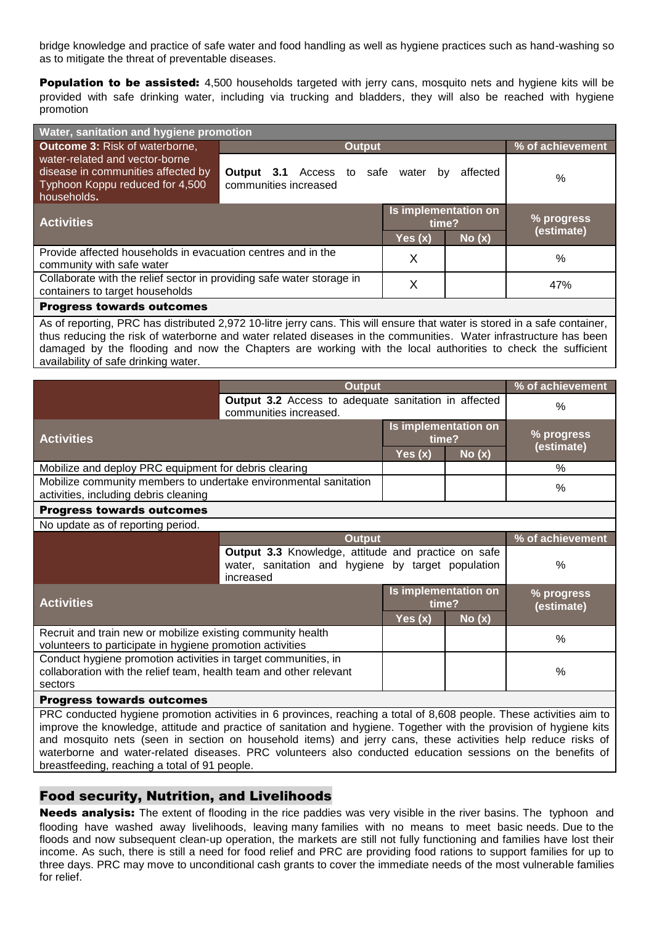bridge knowledge and practice of safe water and food handling as well as hygiene practices such as hand-washing so as to mitigate the threat of preventable diseases.

**Population to be assisted:** 4,500 households targeted with jerry cans, mosquito nets and hygiene kits will be provided with safe drinking water, including via trucking and bladders, they will also be reached with hygiene promotion

| Water, sanitation and hygiene promotion                               |                                  |                      |          |                  |  |
|-----------------------------------------------------------------------|----------------------------------|----------------------|----------|------------------|--|
| <b>Outcome 3: Risk of waterborne,</b><br><b>Output</b>                |                                  |                      |          | % of achievement |  |
| water-related and vector-borne                                        |                                  |                      |          |                  |  |
| disease in communities affected by                                    | <b>Output 3.1</b> Access to safe | water<br>by          | affected | $\frac{0}{0}$    |  |
| Typhoon Koppu reduced for 4,500<br>households.                        | communities increased            |                      |          |                  |  |
|                                                                       |                                  | Is implementation on |          | % progress       |  |
| <b>Activities</b>                                                     |                                  | time?                |          | (estimate)       |  |
|                                                                       |                                  | Yes $(x)$            | No(x)    |                  |  |
| Provide affected households in evacuation centres and in the          |                                  | X                    |          | $\%$             |  |
| community with safe water                                             |                                  |                      |          |                  |  |
| Collaborate with the relief sector in providing safe water storage in |                                  | Χ                    |          | 47%              |  |
| containers to target households                                       |                                  |                      |          |                  |  |
| <b>Progress towards outcomes</b>                                      |                                  |                      |          |                  |  |

As of reporting, PRC has distributed 2,972 10-litre jerry cans. This will ensure that water is stored in a safe container, thus reducing the risk of waterborne and water related diseases in the communities. Water infrastructure has been damaged by the flooding and now the Chapters are working with the local authorities to check the sufficient availability of safe drinking water.

|                                                                                                                                                 | <b>Output</b>                                                                                                          | % of achievement              |                               |                          |
|-------------------------------------------------------------------------------------------------------------------------------------------------|------------------------------------------------------------------------------------------------------------------------|-------------------------------|-------------------------------|--------------------------|
|                                                                                                                                                 | Output 3.2 Access to adequate sanitation in affected<br>communities increased.                                         | $\frac{0}{0}$                 |                               |                          |
| <b>Activities</b>                                                                                                                               |                                                                                                                        | time?<br>Yes $(x)$            | Is implementation on<br>No(x) | % progress<br>(estimate) |
| Mobilize and deploy PRC equipment for debris clearing                                                                                           |                                                                                                                        |                               |                               | $\%$                     |
| Mobilize community members to undertake environmental sanitation<br>activities, including debris cleaning                                       |                                                                                                                        |                               |                               | %                        |
| <b>Progress towards outcomes</b>                                                                                                                |                                                                                                                        |                               |                               |                          |
| No update as of reporting period.                                                                                                               |                                                                                                                        |                               |                               |                          |
|                                                                                                                                                 | <b>Output</b>                                                                                                          |                               |                               | % of achievement         |
|                                                                                                                                                 | Output 3.3 Knowledge, attitude and practice on safe<br>water, sanitation and hygiene by target population<br>increased |                               |                               | $\frac{0}{0}$            |
| <b>Activities</b>                                                                                                                               |                                                                                                                        | Is implementation on<br>time? |                               | % progress<br>(estimate) |
|                                                                                                                                                 |                                                                                                                        | Yes $(x)$                     | No(x)                         |                          |
| Recruit and train new or mobilize existing community health<br>volunteers to participate in hygiene promotion activities                        |                                                                                                                        |                               |                               | $\%$                     |
| Conduct hygiene promotion activities in target communities, in<br>collaboration with the relief team, health team and other relevant<br>sectors |                                                                                                                        |                               |                               | $\frac{0}{0}$            |
| <b>Progress towards outcomes</b>                                                                                                                |                                                                                                                        | 1.1.1.1.1.1.1.0.000           | TTL.                          | and the first            |

PRC conducted hygiene promotion activities in 6 provinces, reaching a total of 8,608 people. These activities aim to improve the knowledge, attitude and practice of sanitation and hygiene. Together with the provision of hygiene kits and mosquito nets (seen in section on household items) and jerry cans, these activities help reduce risks of waterborne and water-related diseases. PRC volunteers also conducted education sessions on the benefits of breastfeeding, reaching a total of 91 people.

#### Food security, Nutrition, and Livelihoods

Needs analysis: The extent of flooding in the rice paddies was very visible in the river basins. The typhoon and flooding have washed away livelihoods, leaving many families with no means to meet basic needs. Due to the floods and now subsequent clean-up operation, the markets are still not fully functioning and families have lost their income. As such, there is still a need for food relief and PRC are providing food rations to support families for up to three days. PRC may move to unconditional cash grants to cover the immediate needs of the most vulnerable families for relief.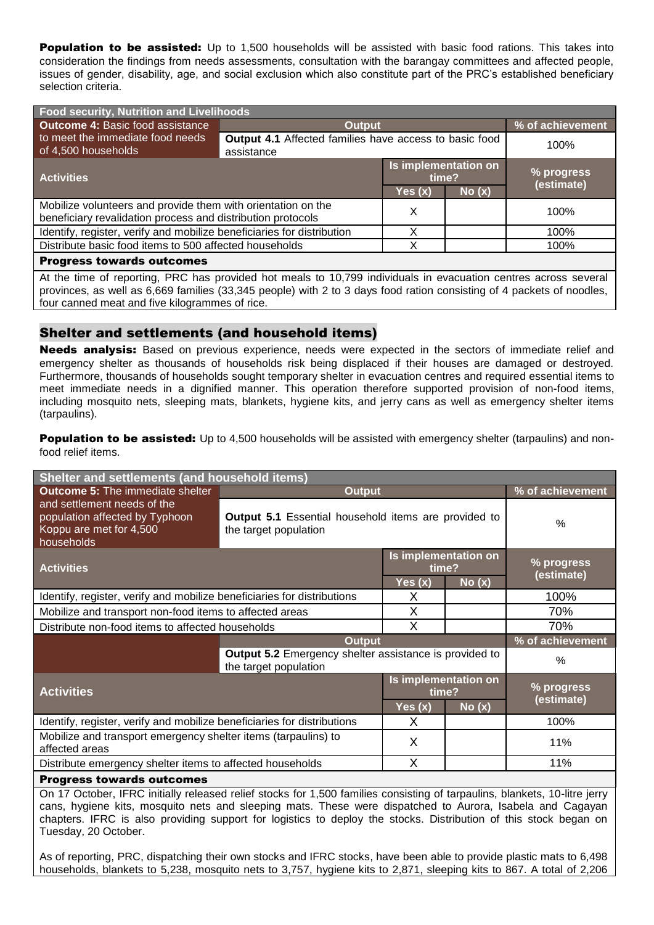**Population to be assisted:** Up to 1,500 households will be assisted with basic food rations. This takes into consideration the findings from needs assessments, consultation with the barangay committees and affected people, issues of gender, disability, age, and social exclusion which also constitute part of the PRC's established beneficiary selection criteria.

| Food security, Nutrition and Livelihoods                                                                                                                                                                                                 |                                                                      |                               |       |                  |  |
|------------------------------------------------------------------------------------------------------------------------------------------------------------------------------------------------------------------------------------------|----------------------------------------------------------------------|-------------------------------|-------|------------------|--|
| <b>Outcome 4: Basic food assistance</b>                                                                                                                                                                                                  | <b>Output</b>                                                        |                               |       | % of achievement |  |
| to meet the immediate food needs<br>of 4,500 households                                                                                                                                                                                  | Output 4.1 Affected families have access to basic food<br>assistance |                               | 100%  |                  |  |
| <b>Activities</b>                                                                                                                                                                                                                        |                                                                      | Is implementation on<br>time? |       | % progress       |  |
|                                                                                                                                                                                                                                          |                                                                      | Yes(x)                        | No(x) | (estimate)       |  |
| Mobilize volunteers and provide them with orientation on the<br>beneficiary revalidation process and distribution protocols                                                                                                              |                                                                      | X                             |       | 100%             |  |
| Identify, register, verify and mobilize beneficiaries for distribution                                                                                                                                                                   |                                                                      | Χ                             |       | 100%             |  |
| Distribute basic food items to 500 affected households                                                                                                                                                                                   |                                                                      | Χ                             |       | 100%             |  |
| <b>Progress towards outcomes</b>                                                                                                                                                                                                         |                                                                      |                               |       |                  |  |
| At the time of reporting, PRC has provided hot meals to 10,799 individuals in evacuation centres across several<br>provinces, as well as 6,669 families (33,345 people) with 2 to 3 days food ration consisting of 4 packets of noodles, |                                                                      |                               |       |                  |  |

### Shelter and settlements (and household items)

four canned meat and five kilogrammes of rice.

Needs analysis: Based on previous experience, needs were expected in the sectors of immediate relief and emergency shelter as thousands of households risk being displaced if their houses are damaged or destroyed. Furthermore, thousands of households sought temporary shelter in evacuation centres and required essential items to meet immediate needs in a dignified manner. This operation therefore supported provision of non-food items, including mosquito nets, sleeping mats, blankets, hygiene kits, and jerry cans as well as emergency shelter items (tarpaulins).

Population to be assisted: Up to 4,500 households will be assisted with emergency shelter (tarpaulins) and nonfood relief items.

| Shelter and settlements (and household items)                                                          |                                                                                        |                               |                        |                  |  |
|--------------------------------------------------------------------------------------------------------|----------------------------------------------------------------------------------------|-------------------------------|------------------------|------------------|--|
| <b>Outcome 5: The immediate shelter</b>                                                                | <b>Output</b>                                                                          |                               |                        | % of achievement |  |
| and settlement needs of the<br>population affected by Typhoon<br>Koppu are met for 4,500<br>households | <b>Output 5.1</b> Essential household items are provided to<br>the target population   |                               |                        | %                |  |
| <b>Activities</b>                                                                                      |                                                                                        | Is implementation on<br>time? |                        | % progress       |  |
|                                                                                                        |                                                                                        | Yes (x)                       | $N$ o $\overline{(x)}$ | (estimate)       |  |
| Identify, register, verify and mobilize beneficiaries for distributions                                |                                                                                        | X                             |                        | 100%             |  |
| Mobilize and transport non-food items to affected areas                                                |                                                                                        | X                             |                        | 70%              |  |
| Distribute non-food items to affected households                                                       |                                                                                        | X                             |                        | 70%              |  |
|                                                                                                        | <b>Output</b>                                                                          |                               | % of achievement       |                  |  |
|                                                                                                        | <b>Output 5.2</b> Emergency shelter assistance is provided to<br>the target population |                               | $\frac{0}{0}$          |                  |  |
| <b>Activities</b>                                                                                      |                                                                                        | Is implementation on<br>time? |                        | % progress       |  |
|                                                                                                        |                                                                                        | Yes $(x)$                     | No(x)                  | (estimate)       |  |
| Identify, register, verify and mobilize beneficiaries for distributions                                |                                                                                        | X                             |                        | 100%             |  |
| Mobilize and transport emergency shelter items (tarpaulins) to<br>affected areas                       |                                                                                        | X                             |                        | 11%              |  |
| Distribute emergency shelter items to affected households                                              |                                                                                        | X                             |                        | 11%              |  |
| <b>Progress towards outcomes</b>                                                                       |                                                                                        |                               |                        |                  |  |

On 17 October, IFRC initially released relief stocks for 1,500 families consisting of tarpaulins, blankets, 10-litre jerry cans, hygiene kits, mosquito nets and sleeping mats. These were dispatched to Aurora, Isabela and Cagayan chapters. IFRC is also providing support for logistics to deploy the stocks. Distribution of this stock began on Tuesday, 20 October.

As of reporting, PRC, dispatching their own stocks and IFRC stocks, have been able to provide plastic mats to 6,498 households, blankets to 5,238, mosquito nets to 3,757, hygiene kits to 2,871, sleeping kits to 867. A total of 2,206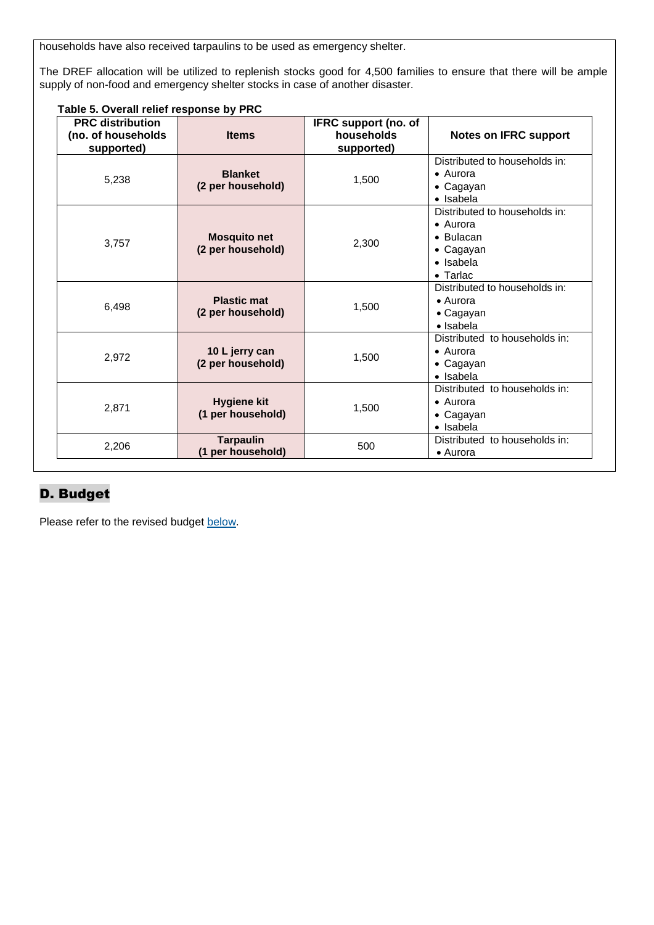households have also received tarpaulins to be used as emergency shelter.

The DREF allocation will be utilized to replenish stocks good for 4,500 families to ensure that there will be ample supply of non-food and emergency shelter stocks in case of another disaster.

| <b>PRC distribution</b><br>(no. of households<br>supported) | <b>Items</b>                             | IFRC support (no. of<br>households<br>supported) | <b>Notes on IFRC support</b>                                                                                         |
|-------------------------------------------------------------|------------------------------------------|--------------------------------------------------|----------------------------------------------------------------------------------------------------------------------|
| 5,238                                                       | <b>Blanket</b><br>(2 per household)      | 1,500                                            | Distributed to households in:<br>$\bullet$ Aurora<br>• Cagayan<br>• Isabela                                          |
| 3,757                                                       | <b>Mosquito net</b><br>(2 per household) | 2,300                                            | Distributed to households in:<br>$\bullet$ Aurora<br>$\bullet$ Bulacan<br>• Cagayan<br>• Isabela<br>$\bullet$ Tarlac |
| 6,498                                                       | <b>Plastic mat</b><br>(2 per household)  | 1,500                                            | Distributed to households in:<br>$\bullet$ Aurora<br>• Cagayan<br>$\bullet$ Isabela                                  |
| 2,972                                                       | 10 L jerry can<br>(2 per household)      | 1,500                                            | Distributed to households in:<br>• Aurora<br>• Cagayan<br>• Isabela                                                  |
| 2,871                                                       | <b>Hygiene kit</b><br>(1 per household)  | 1,500                                            | Distributed to households in:<br>• Aurora<br>$\bullet$ Cagayan<br>• Isabela                                          |
| 2,206                                                       | <b>Tarpaulin</b><br>(1 per household)    | 500                                              | Distributed to households in:<br>• Aurora                                                                            |

#### **Table 5. Overall relief response by PRC**

# D. Budget

Please refer to the revised budge[t below.](#page-12-0)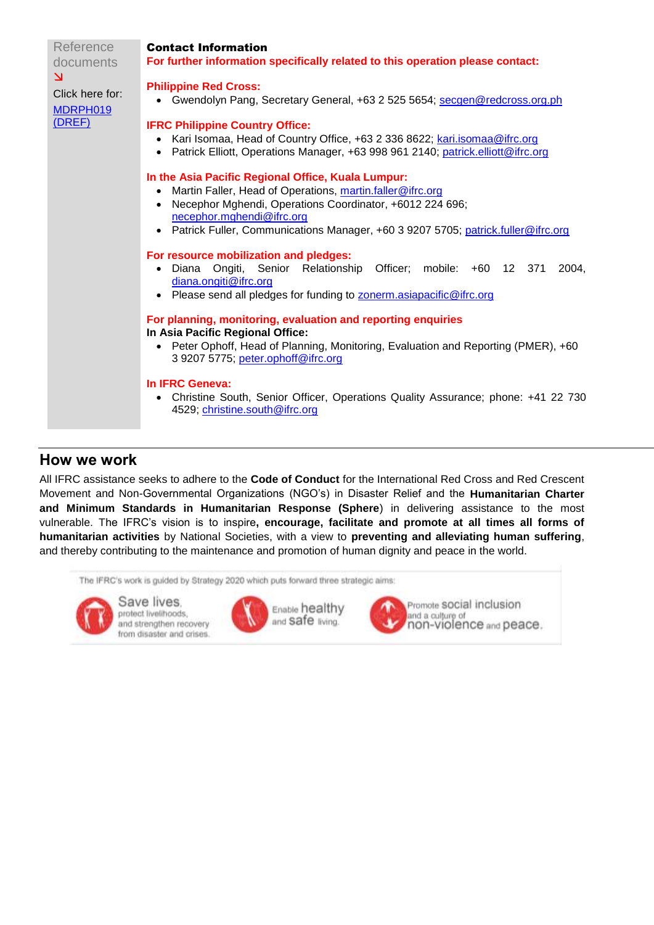| Reference<br>documents                                           | <b>Contact Information</b><br>For further information specifically related to this operation please contact:                                                                                                                                                                                   |
|------------------------------------------------------------------|------------------------------------------------------------------------------------------------------------------------------------------------------------------------------------------------------------------------------------------------------------------------------------------------|
| $\overline{\mathsf{M}}$<br>Click here for:<br>MDRPH019<br>(DREF) | <b>Philippine Red Cross:</b><br>• Gwendolyn Pang, Secretary General, +63 2 525 5654; secgen@redcross.org.ph                                                                                                                                                                                    |
|                                                                  | <b>IFRC Philippine Country Office:</b><br>Kari Isomaa, Head of Country Office, +63 2 336 8622; kari isomaa@ifrc.org<br>• Patrick Elliott, Operations Manager, +63 998 961 2140; patrick.elliott@ifrc.org                                                                                       |
|                                                                  | In the Asia Pacific Regional Office, Kuala Lumpur:<br>Martin Faller, Head of Operations, martin.faller@ifrc.org<br>Necephor Mghendi, Operations Coordinator, +6012 224 696;<br>necephor.mghendi@ifrc.org<br>• Patrick Fuller, Communications Manager, +60 3 9207 5705; patrick.fuller@ifrc.org |
|                                                                  | For resource mobilization and pledges:<br>· Diana Ongiti, Senior Relationship<br>Officer; mobile: +60 12 371<br>2004.<br>diana.ongiti@ifrc.org<br>• Please send all pledges for funding to <b>zonerm.asiapacific@ifrc.org</b>                                                                  |
|                                                                  | For planning, monitoring, evaluation and reporting enquiries<br>In Asia Pacific Regional Office:<br>• Peter Ophoff, Head of Planning, Monitoring, Evaluation and Reporting (PMER), +60<br>3 9207 5775; peter.ophoff@ifrc.org                                                                   |
|                                                                  | In IFRC Geneva:<br>Christine South, Senior Officer, Operations Quality Assurance; phone: +41 22 730<br>4529; christine.south@ifrc.org                                                                                                                                                          |

#### **How we work**

All IFRC assistance seeks to adhere to the **Code of Conduct** for the International Red Cross and Red Crescent Movement and Non-Governmental Organizations (NGO's) in Disaster Relief and the **Humanitarian Charter and Minimum Standards in Humanitarian Response (Sphere**) in delivering assistance to the most vulnerable. The IFRC's vision is to inspire**, encourage, facilitate and promote at all times all forms of humanitarian activities** by National Societies, with a view to **preventing and alleviating human suffering**, and thereby contributing to the maintenance and promotion of human dignity and peace in the world.

The IFRC's work is guided by Strategy 2020 which puts forward three strategic aims:



Save lives. protect livelihoods, and strengthen recovery from disaster and crises.





Promote SOCial inclusion and a culture of<br>non-violence and peace.